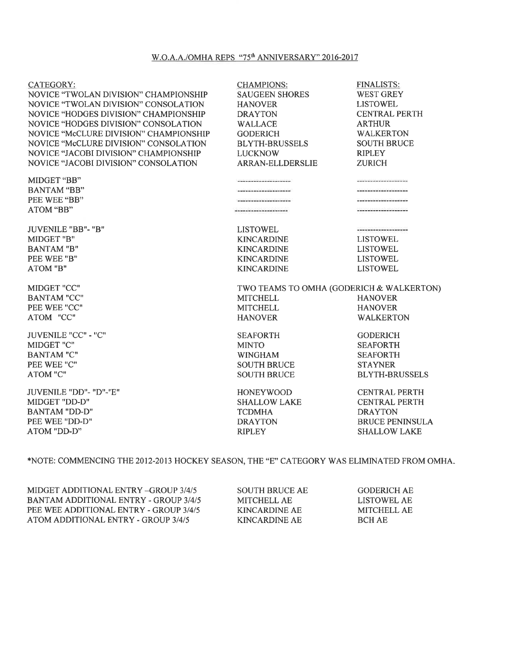### W.O.A.A./OMHA REPS "75<sup>th</sup> ANNIVERSARY" 2016-2017

| <b>CATEGORY:</b>                                                              | <b>CHAMPIONS:</b>                        | <b>FINALISTS:</b>                       |
|-------------------------------------------------------------------------------|------------------------------------------|-----------------------------------------|
| NOVICE "TWOLAN DIVISION" CHAMPIONSHIP                                         | <b>SAUGEEN SHORES</b>                    | <b>WEST GREY</b>                        |
| NOVICE "TWOLAN DIVISION" CONSOLATION<br>NOVICE "HODGES DIVISION" CHAMPIONSHIP | <b>HANOVER</b><br><b>DRAYTON</b>         | <b>LISTOWEL</b><br><b>CENTRAL PERTH</b> |
|                                                                               |                                          |                                         |
| NOVICE "HODGES DIVISION" CONSOLATION                                          | <b>WALLACE</b>                           | <b>ARTHUR</b>                           |
| NOVICE "McCLURE DIVISION" CHAMPIONSHIP                                        | <b>GODERICH</b>                          | <b>WALKERTON</b>                        |
| NOVICE "McCLURE DIVISION" CONSOLATION                                         | <b>BLYTH-BRUSSELS</b>                    | <b>SOUTH BRUCE</b>                      |
| NOVICE "JACOBI DIVISION" CHAMPIONSHIP                                         | <b>LUCKNOW</b>                           | <b>RIPLEY</b>                           |
| NOVICE "JACOBI DIVISION" CONSOLATION                                          | <b>ARRAN-ELLDERSLIE</b>                  | <b>ZURICH</b>                           |
| MIDGET "BB"                                                                   |                                          |                                         |
| <b>BANTAM "BB"</b>                                                            |                                          |                                         |
| PEE WEE "BB"                                                                  |                                          |                                         |
| ATOM "BB"                                                                     |                                          |                                         |
| <b>JUVENILE "BB"- "B"</b>                                                     | <b>LISTOWEL</b>                          |                                         |
| MIDGET "B"                                                                    | <b>KINCARDINE</b>                        | <b>LISTOWEL</b>                         |
| <b>BANTAM "B"</b>                                                             | <b>KINCARDINE</b>                        | <b>LISTOWEL</b>                         |
| PEE WEE "B"                                                                   | <b>KINCARDINE</b>                        | <b>LISTOWEL</b>                         |
| ATOM "B"                                                                      | <b>KINCARDINE</b>                        | <b>LISTOWEL</b>                         |
| MIDGET "CC"                                                                   | TWO TEAMS TO OMHA (GODERICH & WALKERTON) |                                         |
| <b>BANTAM "CC"</b>                                                            | <b>MITCHELL</b>                          | <b>HANOVER</b>                          |
| PEE WEE "CC"                                                                  | <b>MITCHELL</b>                          | <b>HANOVER</b>                          |
| ATOM "CC"                                                                     | <b>HANOVER</b>                           | <b>WALKERTON</b>                        |
| JUVENILE "CC" - "C"                                                           | <b>SEAFORTH</b>                          | <b>GODERICH</b>                         |
| MIDGET "C"                                                                    | <b>MINTO</b>                             | <b>SEAFORTH</b>                         |
| <b>BANTAM "C"</b>                                                             | <b>WINGHAM</b>                           | <b>SEAFORTH</b>                         |
| PEE WEE "C"                                                                   | <b>SOUTH BRUCE</b>                       | <b>STAYNER</b>                          |
| <b>ATOM "C"</b>                                                               | <b>SOUTH BRUCE</b>                       | <b>BLYTH-BRUSSELS</b>                   |
| JUVENILE "DD"- "D"-"E"                                                        | <b>HONEYWOOD</b>                         | <b>CENTRAL PERTH</b>                    |
| MIDGET "DD-D"                                                                 | <b>SHALLOW LAKE</b>                      | <b>CENTRAL PERTH</b>                    |
| <b>BANTAM "DD-D"</b>                                                          | TCDMHA                                   | <b>DRAYTON</b>                          |

## \*NOTE: COMMENCING THE 2012-2013 HOCKEY SEASON, THE "E" CATEGORY WAS ELIMINATED FROM OMHA.

DRAYTON RIPLEY

MIDGET ADDITIONAL ENTRY -GROUP 3/4/5 BANTAMADDITIONAL ENTRY - GROUP 3/4/5 PEE WEE ADDITIONAL ENTRY - GROUP 3/4/5 ATOM ADDITIONAL ENTRY - GROUP 3/4/5

PEE WEE ''DD-D'' ATOM ''DD-D''

> SOUTH BRUCE AE MITCHELL AE KINCARDINE AE KINCARDINE AE

**GODERICH AE** LISTOWEL AE MITCHELL AE BCHAE

BRUCE PENINSULA SHALLOW LAKE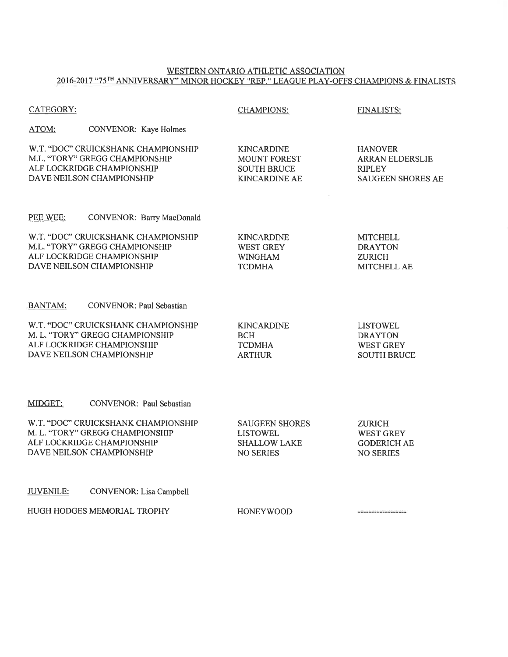#### WESTERN ONTARIO ATHLETIC ASSOCIATION 2016-2017 "75TH ANNIVERSARY'' MINOR HOCKEY ''REP.'' LEAGUE PLAY-OFFS CHAMPIONS & FINALISTS

| <b>CATEGORY:</b> |                                                                                                                                   | <b>CHAMPIONS:</b>                                                                      | <b>FINALISTS:</b>                                                                     |
|------------------|-----------------------------------------------------------------------------------------------------------------------------------|----------------------------------------------------------------------------------------|---------------------------------------------------------------------------------------|
| ATOM:            | CONVENOR: Kaye Holmes                                                                                                             |                                                                                        |                                                                                       |
|                  | W.T. "DOC" CRUICKSHANK CHAMPIONSHIP<br>M.L. "TORY" GREGG CHAMPIONSHIP<br>ALF LOCKRIDGE CHAMPIONSHIP<br>DAVE NEILSON CHAMPIONSHIP  | <b>KINCARDINE</b><br><b>MOUNT FOREST</b><br><b>SOUTH BRUCE</b><br><b>KINCARDINE AE</b> | <b>HANOVER</b><br><b>ARRAN ELDERSLIE</b><br><b>RIPLEY</b><br><b>SAUGEEN SHORES AE</b> |
| PEE WEE:         | <b>CONVENOR: Barry MacDonald</b>                                                                                                  |                                                                                        |                                                                                       |
|                  | W.T. "DOC" CRUICKSHANK CHAMPIONSHIP<br>M.L. "TORY" GREGG CHAMPIONSHIP<br>ALF LOCKRIDGE CHAMPIONSHIP<br>DAVE NEILSON CHAMPIONSHIP  | <b>KINCARDINE</b><br><b>WEST GREY</b><br><b>WINGHAM</b><br><b>TCDMHA</b>               | <b>MITCHELL</b><br><b>DRAYTON</b><br><b>ZURICH</b><br><b>MITCHELL AE</b>              |
| <b>BANTAM:</b>   | <b>CONVENOR: Paul Sebastian</b>                                                                                                   |                                                                                        |                                                                                       |
|                  | W.T. "DOC" CRUICKSHANK CHAMPIONSHIP<br>M. L. "TORY" GREGG CHAMPIONSHIP<br>ALF LOCKRIDGE CHAMPIONSHIP<br>DAVE NEILSON CHAMPIONSHIP | <b>KINCARDINE</b><br><b>BCH</b><br><b>TCDMHA</b><br><b>ARTHUR</b>                      | <b>LISTOWEL</b><br><b>DRAYTON</b><br><b>WEST GREY</b><br><b>SOUTH BRUCE</b>           |
| MIDGET:          | CONVENOR: Paul Sebastian                                                                                                          |                                                                                        |                                                                                       |
|                  | W.T. "DOC" CRUICKSHANK CHAMPIONSHIP<br>M. L. "TORY" GREGG CHAMPIONSHIP<br>ALF LOCKRIDGE CHAMPIONSHIP<br>DAVE NEILSON CHAMPIONSHIP | <b>SAUGEEN SHORES</b><br><b>LISTOWEL</b><br><b>SHALLOW LAKE</b><br><b>NO SERIES</b>    | <b>ZURICH</b><br><b>WEST GREY</b><br><b>GODERICH AE</b><br><b>NO SERIES</b>           |
| <b>JUVENILE:</b> | <b>CONVENOR: Lisa Campbell</b>                                                                                                    |                                                                                        |                                                                                       |
|                  | HUGH HODGES MEMORIAL TROPHY                                                                                                       | <b>HONEYWOOD</b>                                                                       |                                                                                       |